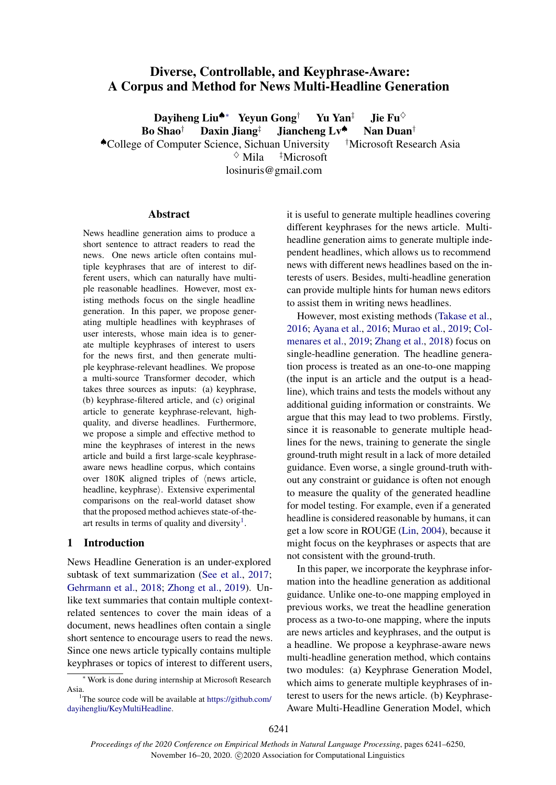# Diverse, Controllable, and Keyphrase-Aware: A Corpus and Method for News Multi-Headline Generation

Dayiheng Liu<sup>▲</sup>∗ Yeyun Gong<sup>†</sup> Yu Yan<sup>‡</sup> Jie Fu<sup>◇</sup> Bo Shao<sup>†</sup> Daxin Jiang<sup>‡</sup> Jiancheng Lv<sup>4</sup> Nan Duan<sup>†</sup> ♠College of Computer Science, Sichuan University †Microsoft Research Asia

 $\Diamond$  Mila  $\Box$ <sup>†</sup>Microsoft

losinuris@gmail.com

# Abstract

News headline generation aims to produce a short sentence to attract readers to read the news. One news article often contains multiple keyphrases that are of interest to different users, which can naturally have multiple reasonable headlines. However, most existing methods focus on the single headline generation. In this paper, we propose generating multiple headlines with keyphrases of user interests, whose main idea is to generate multiple keyphrases of interest to users for the news first, and then generate multiple keyphrase-relevant headlines. We propose a multi-source Transformer decoder, which takes three sources as inputs: (a) keyphrase, (b) keyphrase-filtered article, and (c) original article to generate keyphrase-relevant, highquality, and diverse headlines. Furthermore, we propose a simple and effective method to mine the keyphrases of interest in the news article and build a first large-scale keyphraseaware news headline corpus, which contains over  $180K$  aligned triples of  $\langle$  news article, headline, keyphrase). Extensive experimental comparisons on the real-world dataset show that the proposed method achieves state-of-the-art results in terms of quality and diversity<sup>[1](#page-0-0)</sup>.

# <span id="page-0-1"></span>1 Introduction

News Headline Generation is an under-explored subtask of text summarization [\(See et al.,](#page-8-0) [2017;](#page-8-0) [Gehrmann et al.,](#page-8-1) [2018;](#page-8-1) [Zhong et al.,](#page-9-0) [2019\)](#page-9-0). Unlike text summaries that contain multiple contextrelated sentences to cover the main ideas of a document, news headlines often contain a single short sentence to encourage users to read the news. Since one news article typically contains multiple keyphrases or topics of interest to different users, it is useful to generate multiple headlines covering different keyphrases for the news article. Multiheadline generation aims to generate multiple independent headlines, which allows us to recommend news with different news headlines based on the interests of users. Besides, multi-headline generation can provide multiple hints for human news editors to assist them in writing news headlines.

However, most existing methods [\(Takase et al.,](#page-9-1) [2016;](#page-9-1) [Ayana et al.,](#page-8-2) [2016;](#page-8-2) [Murao et al.,](#page-8-3) [2019;](#page-8-3) [Col](#page-8-4)[menares et al.,](#page-8-4) [2019;](#page-8-4) [Zhang et al.,](#page-9-2) [2018\)](#page-9-2) focus on single-headline generation. The headline generation process is treated as an one-to-one mapping (the input is an article and the output is a headline), which trains and tests the models without any additional guiding information or constraints. We argue that this may lead to two problems. Firstly, since it is reasonable to generate multiple headlines for the news, training to generate the single ground-truth might result in a lack of more detailed guidance. Even worse, a single ground-truth without any constraint or guidance is often not enough to measure the quality of the generated headline for model testing. For example, even if a generated headline is considered reasonable by humans, it can get a low score in ROUGE [\(Lin,](#page-8-5) [2004\)](#page-8-5), because it might focus on the keyphrases or aspects that are not consistent with the ground-truth.

In this paper, we incorporate the keyphrase information into the headline generation as additional guidance. Unlike one-to-one mapping employed in previous works, we treat the headline generation process as a two-to-one mapping, where the inputs are news articles and keyphrases, and the output is a headline. We propose a keyphrase-aware news multi-headline generation method, which contains two modules: (a) Keyphrase Generation Model, which aims to generate multiple keyphrases of interest to users for the news article. (b) Keyphrase-Aware Multi-Headline Generation Model, which

<sup>∗</sup> Work is done during internship at Microsoft Research Asia.

<span id="page-0-0"></span><sup>&</sup>lt;sup>1</sup>The source code will be available at [https://github.com/](https://github.com/dayihengliu/KeyMultiHeadline) [dayihengliu/KeyMultiHeadline.](https://github.com/dayihengliu/KeyMultiHeadline)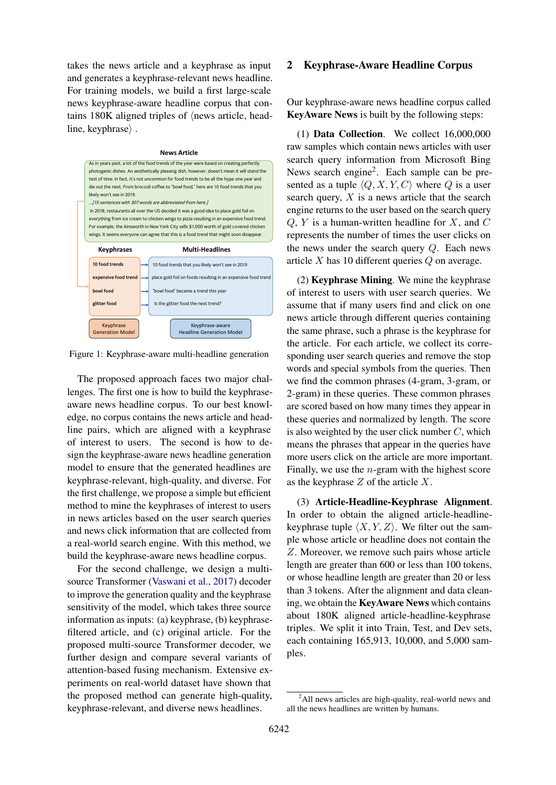takes the news article and a keyphrase as input and generates a keyphrase-relevant news headline. For training models, we build a first large-scale news keyphrase-aware headline corpus that contains  $180K$  aligned triples of  $\langle$  news article, headline, keyphrase $\rangle$ .

#### **News Article**

<span id="page-1-1"></span>

Figure 1: Keyphrase-aware multi-headline generation

The proposed approach faces two major challenges. The first one is how to build the keyphraseaware news headline corpus. To our best knowledge, no corpus contains the news article and headline pairs, which are aligned with a keyphrase of interest to users. The second is how to design the keyphrase-aware news headline generation model to ensure that the generated headlines are keyphrase-relevant, high-quality, and diverse. For the first challenge, we propose a simple but efficient method to mine the keyphrases of interest to users in news articles based on the user search queries and news click information that are collected from a real-world search engine. With this method, we build the keyphrase-aware news headline corpus.

For the second challenge, we design a multisource Transformer [\(Vaswani et al.,](#page-9-3) [2017\)](#page-9-3) decoder to improve the generation quality and the keyphrase sensitivity of the model, which takes three source information as inputs: (a) keyphrase, (b) keyphrasefiltered article, and (c) original article. For the proposed multi-source Transformer decoder, we further design and compare several variants of attention-based fusing mechanism. Extensive experiments on real-world dataset have shown that the proposed method can generate high-quality, keyphrase-relevant, and diverse news headlines.

#### 2 Keyphrase-Aware Headline Corpus

Our keyphrase-aware news headline corpus called KeyAware News is built by the following steps:

(1) Data Collection. We collect 16,000,000 raw samples which contain news articles with user search query information from Microsoft Bing News search engine<sup>[2](#page-1-0)</sup>. Each sample can be presented as a tuple  $\langle Q, X, Y, C \rangle$  where Q is a user search query,  $X$  is a news article that the search engine returns to the user based on the search query  $Q, Y$  is a human-written headline for X, and  $C$ represents the number of times the user clicks on the news under the search query  $Q$ . Each news article X has 10 different queries Q on average.

(2) Keyphrase Mining. We mine the keyphrase of interest to users with user search queries. We assume that if many users find and click on one news article through different queries containing the same phrase, such a phrase is the keyphrase for the article. For each article, we collect its corresponding user search queries and remove the stop words and special symbols from the queries. Then we find the common phrases (4-gram, 3-gram, or 2-gram) in these queries. These common phrases are scored based on how many times they appear in these queries and normalized by length. The score is also weighted by the user click number  $C$ , which means the phrases that appear in the queries have more users click on the article are more important. Finally, we use the  $n$ -gram with the highest score as the keyphrase  $Z$  of the article  $X$ .

(3) Article-Headline-Keyphrase Alignment. In order to obtain the aligned article-headlinekeyphrase tuple  $\langle X, Y, Z \rangle$ . We filter out the sample whose article or headline does not contain the Z. Moreover, we remove such pairs whose article length are greater than 600 or less than 100 tokens, or whose headline length are greater than 20 or less than 3 tokens. After the alignment and data cleaning, we obtain the KeyAware News which contains about 180K aligned article-headline-keyphrase triples. We split it into Train, Test, and Dev sets, each containing 165,913, 10,000, and 5,000 samples.

<span id="page-1-0"></span> $^{2}$ All news articles are high-quality, real-world news and all the news headlines are written by humans.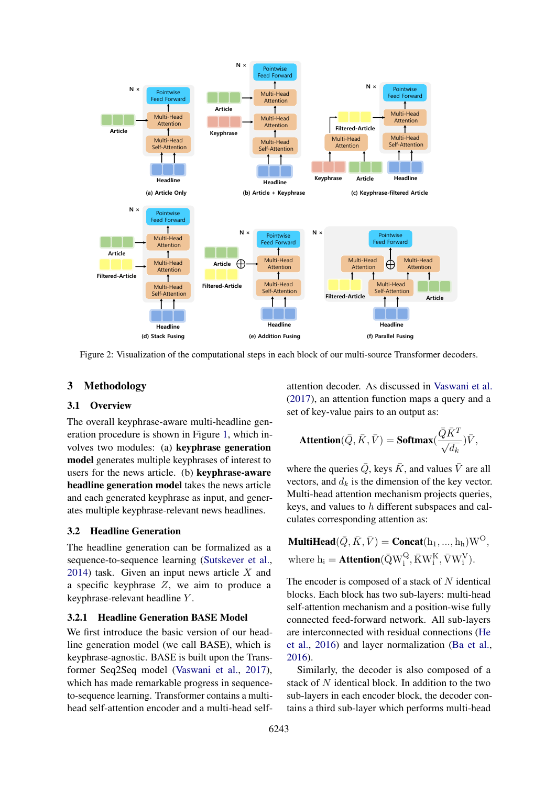<span id="page-2-0"></span>

Figure 2: Visualization of the computational steps in each block of our multi-source Transformer decoders.

# 3 Methodology

#### 3.1 Overview

The overall keyphrase-aware multi-headline generation procedure is shown in Figure [1,](#page-1-1) which involves two modules: (a) keyphrase generation model generates multiple keyphrases of interest to users for the news article. (b) keyphrase-aware headline generation model takes the news article and each generated keyphrase as input, and generates multiple keyphrase-relevant news headlines.

#### 3.2 Headline Generation

The headline generation can be formalized as a sequence-to-sequence learning [\(Sutskever et al.,](#page-8-6) [2014\)](#page-8-6) task. Given an input news article  $X$  and a specific keyphrase  $Z$ , we aim to produce a keyphrase-relevant headline Y .

#### <span id="page-2-1"></span>3.2.1 Headline Generation BASE Model

We first introduce the basic version of our headline generation model (we call BASE), which is keyphrase-agnostic. BASE is built upon the Transformer Seq2Seq model [\(Vaswani et al.,](#page-9-3) [2017\)](#page-9-3), which has made remarkable progress in sequenceto-sequence learning. Transformer contains a multihead self-attention encoder and a multi-head selfattention decoder. As discussed in [Vaswani et al.](#page-9-3) [\(2017\)](#page-9-3), an attention function maps a query and a set of key-value pairs to an output as:

$$
\textbf{Attention}(\bar{Q}, \bar{K}, \bar{V}) = \textbf{Softmax}(\frac{\bar{Q}\bar{K}^T}{\sqrt{d_k}})\bar{V},
$$

where the queries  $\overline{Q}$ , keys  $\overline{K}$ , and values  $\overline{V}$  are all vectors, and  $d_k$  is the dimension of the key vector. Multi-head attention mechanism projects queries, keys, and values to h different subspaces and calculates corresponding attention as:

**MultiHead**
$$
(\bar{Q}, \bar{K}, \bar{V})
$$
 = **Concat** $(h_1, ..., h_h)W^O$ ,  
where  $h_i$  = **Attention** $(\bar{Q}W_i^Q, \bar{K}W_i^K, \bar{V}W_i^V)$ .

The encoder is composed of a stack of  $N$  identical blocks. Each block has two sub-layers: multi-head self-attention mechanism and a position-wise fully connected feed-forward network. All sub-layers are interconnected with residual connections [\(He](#page-8-7) [et al.,](#page-8-7) [2016\)](#page-8-7) and layer normalization [\(Ba et al.,](#page-8-8) [2016\)](#page-8-8).

Similarly, the decoder is also composed of a stack of N identical block. In addition to the two sub-layers in each encoder block, the decoder contains a third sub-layer which performs multi-head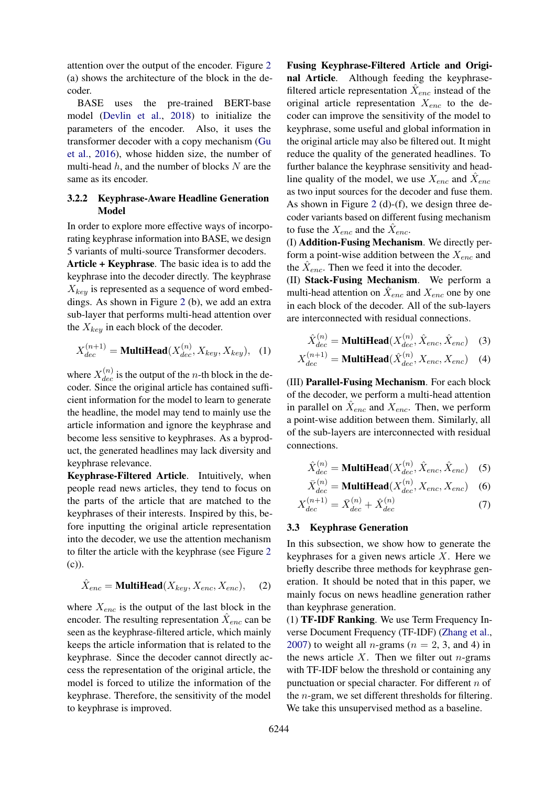attention over the output of the encoder. Figure [2](#page-2-0) (a) shows the architecture of the block in the decoder.

BASE uses the pre-trained BERT-base model [\(Devlin et al.,](#page-8-9) [2018\)](#page-8-9) to initialize the parameters of the encoder. Also, it uses the transformer decoder with a copy mechanism [\(Gu](#page-8-10) [et al.,](#page-8-10) [2016\)](#page-8-10), whose hidden size, the number of multi-head  $h$ , and the number of blocks  $N$  are the same as its encoder.

# 3.2.2 Keyphrase-Aware Headline Generation Model

In order to explore more effective ways of incorporating keyphrase information into BASE, we design 5 variants of multi-source Transformer decoders.

Article + Keyphrase. The basic idea is to add the keyphrase into the decoder directly. The keyphrase  $X_{kev}$  is represented as a sequence of word embeddings. As shown in Figure [2](#page-2-0) (b), we add an extra sub-layer that performs multi-head attention over the  $X_{key}$  in each block of the decoder.

$$
X_{dec}^{(n+1)} = \text{MultiHead}(X_{dec}^{(n)}, X_{key}, X_{key}), \quad (1)
$$

where  $X_{dec}^{(n)}$  is the output of the *n*-th block in the decoder. Since the original article has contained sufficient information for the model to learn to generate the headline, the model may tend to mainly use the article information and ignore the keyphrase and become less sensitive to keyphrases. As a byproduct, the generated headlines may lack diversity and keyphrase relevance.

Keyphrase-Filtered Article. Intuitively, when people read news articles, they tend to focus on the parts of the article that are matched to the keyphrases of their interests. Inspired by this, before inputting the original article representation into the decoder, we use the attention mechanism to filter the article with the keyphrase (see Figure [2](#page-2-0) (c)).

$$
\hat{X}_{enc} = \text{MultiHead}(X_{key}, X_{enc}, X_{enc}), \quad (2)
$$

where  $X_{enc}$  is the output of the last block in the encoder. The resulting representation  $\hat{X}_{enc}$  can be seen as the keyphrase-filtered article, which mainly keeps the article information that is related to the keyphrase. Since the decoder cannot directly access the representation of the original article, the model is forced to utilize the information of the keyphrase. Therefore, the sensitivity of the model to keyphrase is improved.

Fusing Keyphrase-Filtered Article and Original Article. Although feeding the keyphrasefiltered article representation  $\hat{X}_{enc}$  instead of the original article representation  $X_{enc}$  to the decoder can improve the sensitivity of the model to keyphrase, some useful and global information in the original article may also be filtered out. It might reduce the quality of the generated headlines. To further balance the keyphrase sensitivity and headline quality of the model, we use  $X_{enc}$  and  $\hat{X}_{enc}$ as two input sources for the decoder and fuse them. As shown in Figure [2](#page-2-0) (d)-(f), we design three decoder variants based on different fusing mechanism to fuse the  $X_{enc}$  and the  $\hat{X}_{enc}$ .

(I) Addition-Fusing Mechanism. We directly perform a point-wise addition between the  $X_{enc}$  and the  $\hat{X}_{enc}$ . Then we feed it into the decoder.

(II) Stack-Fusing Mechanism. We perform a multi-head attention on  $\hat{X}_{enc}$  and  $X_{enc}$  one by one in each block of the decoder. All of the sub-layers are interconnected with residual connections.

$$
\hat{X}_{dec}^{(n)} = \text{MultiHead}(X_{dec}^{(n)}, \hat{X}_{enc}, \hat{X}_{enc}) \quad (3)
$$

$$
X_{dec}^{(n+1)} = \text{MultiHead}(\hat{X}_{dec}^{(n)}, X_{enc}, X_{enc}) \quad (4)
$$

(III) Parallel-Fusing Mechanism. For each block of the decoder, we perform a multi-head attention in parallel on  $\hat{X}_{enc}$  and  $X_{enc}$ . Then, we perform a point-wise addition between them. Similarly, all of the sub-layers are interconnected with residual connections.

$$
\hat{X}_{dec}^{(n)} = \text{MultiHead}(X_{dec}^{(n)}, \hat{X}_{enc}, \hat{X}_{enc}) \quad (5)
$$

$$
\bar{X}_{dec}^{(n)} = \text{MultiHead}(X_{dec}^{(n)}, X_{enc}, X_{enc}) \quad (6)
$$

$$
X_{dec}^{(n+1)} = \bar{X}_{dec}^{(n)} + \hat{X}_{dec}^{(n)}
$$
 (7)

### 3.3 Keyphrase Generation

In this subsection, we show how to generate the keyphrases for a given news article  $X$ . Here we briefly describe three methods for keyphrase generation. It should be noted that in this paper, we mainly focus on news headline generation rather than keyphrase generation.

(1) TF-IDF Ranking. We use Term Frequency Inverse Document Frequency (TF-IDF) [\(Zhang et al.,](#page-9-4) [2007\)](#page-9-4) to weight all *n*-grams ( $n = 2, 3$ , and 4) in the news article  $X$ . Then we filter out *n*-grams with TF-IDF below the threshold or containing any punctuation or special character. For different  $n$  of the n-gram, we set different thresholds for filtering. We take this unsupervised method as a baseline.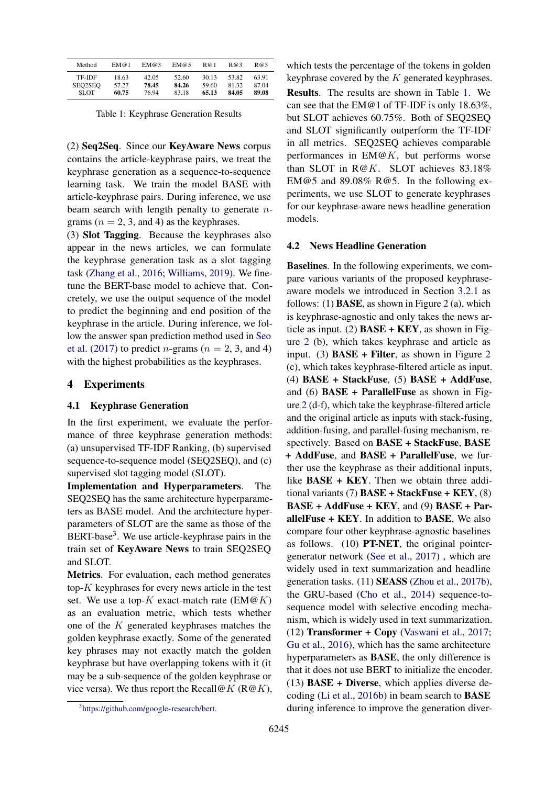<span id="page-4-1"></span>

| Method      | EM@1  | EM@3  | EM@5  | R@1   | R@3   | R@5   |
|-------------|-------|-------|-------|-------|-------|-------|
| TF-IDF      | 18.63 | 42.05 | 52.60 | 30.13 | 53.82 | 63.91 |
| SEO2SEO     | 57.27 | 78.45 | 84.26 | 59.60 | 81.32 | 87.04 |
| <b>SLOT</b> | 60.75 | 76.94 | 83.18 | 65.13 | 84.05 | 89.08 |

Table 1: Keyphrase Generation Results

(2) Seq2Seq. Since our KeyAware News corpus contains the article-keyphrase pairs, we treat the keyphrase generation as a sequence-to-sequence learning task. We train the model BASE with article-keyphrase pairs. During inference, we use beam search with length penalty to generate ngrams ( $n = 2, 3$ , and 4) as the keyphrases.

(3) Slot Tagging. Because the keyphrases also appear in the news articles, we can formulate the keyphrase generation task as a slot tagging task [\(Zhang et al.,](#page-9-5) [2016;](#page-9-5) [Williams,](#page-9-6) [2019\)](#page-9-6). We finetune the BERT-base model to achieve that. Concretely, we use the output sequence of the model to predict the beginning and end position of the keyphrase in the article. During inference, we follow the answer span prediction method used in [Seo](#page-8-11) [et al.](#page-8-11) [\(2017\)](#page-8-11) to predict *n*-grams ( $n = 2, 3$ , and 4) with the highest probabilities as the keyphrases.

### 4 Experiments

#### 4.1 Keyphrase Generation

In the first experiment, we evaluate the performance of three keyphrase generation methods: (a) unsupervised TF-IDF Ranking, (b) supervised sequence-to-sequence model (SEQ2SEQ), and (c) supervised slot tagging model (SLOT).

Implementation and Hyperparameters. The SEQ2SEQ has the same architecture hyperparameters as BASE model. And the architecture hyperparameters of SLOT are the same as those of the BERT-base<sup>[3](#page-4-0)</sup>. We use article-keyphrase pairs in the train set of KeyAware News to train SEQ2SEQ and SLOT.

Metrics. For evaluation, each method generates top-K keyphrases for every news article in the test set. We use a top-K exact-match rate  $(EM@K)$ as an evaluation metric, which tests whether one of the K generated keyphrases matches the golden keyphrase exactly. Some of the generated key phrases may not exactly match the golden keyphrase but have overlapping tokens with it (it may be a sub-sequence of the golden keyphrase or vice versa). We thus report the Recall@K ( $R@K$ ), which tests the percentage of the tokens in golden keyphrase covered by the  $K$  generated keyphrases. Results. The results are shown in Table [1.](#page-4-1) We can see that the EM@1 of TF-IDF is only 18.63%, but SLOT achieves 60.75%. Both of SEQ2SEQ and SLOT significantly outperform the TF-IDF in all metrics. SEQ2SEQ achieves comparable performances in  $EM@K$ , but performs worse than SLOT in R@K. SLOT achieves 83.18% EM@5 and 89.08% R@5. In the following experiments, we use SLOT to generate keyphrases for our keyphrase-aware news headline generation models.

#### 4.2 News Headline Generation

Baselines. In the following experiments, we compare various variants of the proposed keyphraseaware models we introduced in Section [3.2.1](#page-2-1) as follows: (1) **BASE**, as shown in Figure [2](#page-2-0) (a), which is keyphrase-agnostic and only takes the news article as input. (2)  $\text{BASE} + \text{KEY}$ , as shown in Figure [2](#page-2-0) (b), which takes keyphrase and article as input. (3)  $\text{BASE} + \text{Filter}$ , as shown in Figure [2](#page-2-0) (c), which takes keyphrase-filtered article as input. (4) BASE + StackFuse, (5) BASE + AddFuse, and (6)  $\text{BASE} + \text{ParallelFuse}$  as shown in Figure [2](#page-2-0) (d-f), which take the keyphrase-filtered article and the original article as inputs with stack-fusing, addition-fusing, and parallel-fusing mechanism, respectively. Based on BASE + StackFuse, BASE + AddFuse, and BASE + ParallelFuse, we further use the keyphrase as their additional inputs, like BASE + KEY. Then we obtain three additional variants (7)  $\text{BASE} + \text{StackFuse} + \text{KEY}$ , (8) BASE + AddFuse + KEY, and (9) BASE + ParallelFuse  $+$  KEY. In addition to BASE, We also compare four other keyphrase-agnostic baselines as follows. (10) PT-NET, the original pointergenerator network [\(See et al.,](#page-8-0) [2017\)](#page-8-0) , which are widely used in text summarization and headline generation tasks. (11) SEASS [\(Zhou et al.,](#page-9-7) [2017b\)](#page-9-7), the GRU-based [\(Cho et al.,](#page-8-12) [2014\)](#page-8-12) sequence-tosequence model with selective encoding mechanism, which is widely used in text summarization. (12) Transformer + Copy [\(Vaswani et al.,](#page-9-3) [2017;](#page-9-3) [Gu et al.,](#page-8-10) [2016\)](#page-8-10), which has the same architecture hyperparameters as BASE, the only difference is that it does not use BERT to initialize the encoder.  $(13)$  BASE + Diverse, which applies diverse decoding [\(Li et al.,](#page-8-13) [2016b\)](#page-8-13) in beam search to BASE during inference to improve the generation diver-

<span id="page-4-0"></span><sup>3</sup> [https://github.com/google-research/bert.](https://github.com/google-research/bert)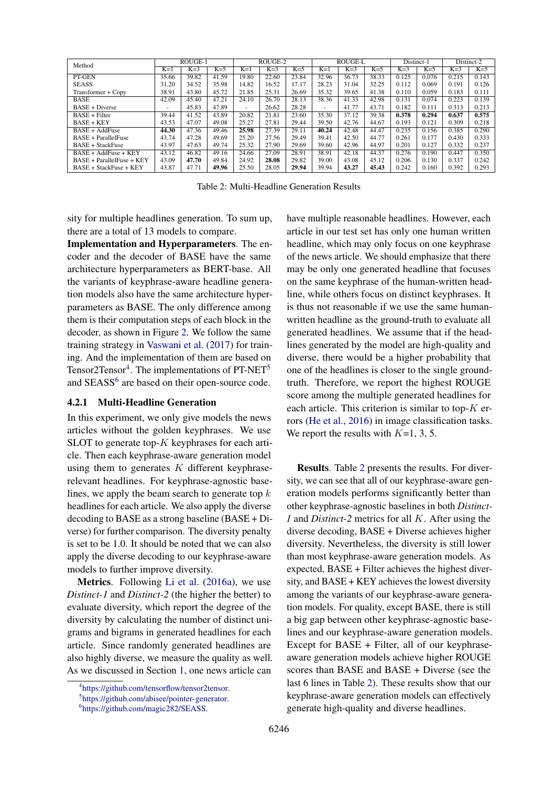<span id="page-5-3"></span>

|                            | ROUGE-1                  |       |       | ROUGE-2 |       |       | ROUGE-L        |       |       | Distinct-1 |       | Distinct-2 |       |
|----------------------------|--------------------------|-------|-------|---------|-------|-------|----------------|-------|-------|------------|-------|------------|-------|
| Method                     |                          |       |       |         |       |       |                |       |       |            |       |            |       |
|                            | $K=1$                    | $K=3$ | $K=5$ | $K=1$   | $K=3$ | $K=5$ | $K=1$          | $K=3$ | $K=5$ | $K=3$      | $K=5$ | $K=3$      | $K=5$ |
| PT-GEN                     | 35.66                    | 39.82 | 41.59 | 19.80   | 22.60 | 23.84 | 32.96          | 36.73 | 38.33 | 0.125      | 0.076 | 0.215      | 0.143 |
| <b>SEASS</b>               | 31.20                    | 34.52 | 35.98 | 14.82   | 16.52 | 17.17 | 28.23          | 31.04 | 32.25 | 0.112      | 0.069 | 0.191      | 0.126 |
| Transformer + Copy         | 38.91                    | 43.80 | 45.72 | 21.85   | 25.31 | 26.69 | 35.32          | 39.65 | 41.38 | 0.110      | 0.059 | 0.183      | 0.111 |
| <b>BASE</b>                | 42.09                    | 45.40 | 47.21 | 24.10   | 26.70 | 28.13 | 38.36          | 41.33 | 42.98 | 0.131      | 0.074 | 0.223      | 0.139 |
| $BASE + Diverse$           | $\overline{\phantom{a}}$ | 45.83 | 47.89 |         | 26.62 | 28.28 | $\overline{a}$ | 41.77 | 43.71 | 0.182      | 0.111 | 0.313      | 0.213 |
| $BASE + Filter$            | 39.44                    | 41.52 | 43.89 | 20.82   | 21.81 | 23.60 | 35.30          | 37.12 | 39.38 | 0.378      | 0.294 | 0.637      | 0.575 |
| $BASE + KEY$               | 43.53                    | 47.07 | 49.08 | 25.27   | 27.81 | 29.44 | 39.50          | 42.76 | 44.67 | 0.193      | 0.121 | 0.309      | 0.218 |
| $BASE + AddFuse$           | 44.30                    | 47.36 | 49.46 | 25.98   | 27.39 | 29.11 | 40.24          | 42.48 | 44.47 | 0.235      | 0.156 | 0.385      | 0.290 |
| <b>BASE + ParallelFuse</b> | 43.74                    | 47.28 | 49.69 | 25.20   | 27.56 | 29.49 | 39.41          | 42.50 | 44.77 | 0.261      | 0.177 | 0.430      | 0.333 |
| BASE + StackFuse           | 43.97                    | 47.63 | 49.74 | 25.32   | 27.90 | 29.69 | 39.60          | 42.96 | 44.97 | 0.201      | 0.127 | 0.332      | 0.237 |
| $BASE + AddFunc + KEY$     | 43.12                    | 46.82 | 49.16 | 24.66   | 27.09 | 28.91 | 38.91          | 42.18 | 44.37 | 0.276      | 0.190 | 0.447      | 0.350 |
| BASE + ParallelFuse + KEY  | 43.09                    | 47.70 | 49.84 | 24.92   | 28.08 | 29.82 | 39.00          | 43.08 | 45.12 | 0.206      | 0.130 | 0.337      | 0.242 |
| BASE + StackFuse + KEY     | 43.87                    | 47.71 | 49.96 | 25.50   | 28.05 | 29.94 | 39.94          | 43.27 | 45.43 | 0.242      | 0.160 | 0.392      | 0.293 |

Table 2: Multi-Headline Generation Results

sity for multiple headlines generation. To sum up, there are a total of 13 models to compare.

Implementation and Hyperparameters. The encoder and the decoder of BASE have the same architecture hyperparameters as BERT-base. All the variants of keyphrase-aware headline generation models also have the same architecture hyperparameters as BASE. The only difference among them is their computation steps of each block in the decoder, as shown in Figure [2.](#page-2-0) We follow the same training strategy in [Vaswani et al.](#page-9-3) [\(2017\)](#page-9-3) for training. And the implementation of them are based on Tensor2Tensor<sup>[4](#page-5-0)</sup>. The implementations of PT-NET<sup>[5](#page-5-1)</sup> and SEASS<sup>[6](#page-5-2)</sup> are based on their open-source code.

#### 4.2.1 Multi-Headline Generation

In this experiment, we only give models the news articles without the golden keyphrases. We use SLOT to generate top- $K$  keyphrases for each article. Then each keyphrase-aware generation model using them to generates  $K$  different keyphraserelevant headlines. For keyphrase-agnostic baselines, we apply the beam search to generate top  $k$ headlines for each article. We also apply the diverse decoding to BASE as a strong baseline (BASE + Diverse) for further comparison. The diversity penalty is set to be 1.0. It should be noted that we can also apply the diverse decoding to our keyphrase-aware models to further improve diversity.

Metrics. Following [Li et al.](#page-8-14) [\(2016a\)](#page-8-14), we use *Distinct-1* and *Distinct-2* (the higher the better) to evaluate diversity, which report the degree of the diversity by calculating the number of distinct unigrams and bigrams in generated headlines for each article. Since randomly generated headlines are also highly diverse, we measure the quality as well. As we discussed in Section [1,](#page-0-1) one news article can

have multiple reasonable headlines. However, each article in our test set has only one human written headline, which may only focus on one keyphrase of the news article. We should emphasize that there may be only one generated headline that focuses on the same keyphrase of the human-written headline, while others focus on distinct keyphrases. It is thus not reasonable if we use the same humanwritten headline as the ground-truth to evaluate all generated headlines. We assume that if the headlines generated by the model are high-quality and diverse, there would be a higher probability that one of the headlines is closer to the single groundtruth. Therefore, we report the highest ROUGE score among the multiple generated headlines for each article. This criterion is similar to top- $K$  errors [\(He et al.,](#page-8-7) [2016\)](#page-8-7) in image classification tasks. We report the results with  $K=1, 3, 5$ .

Results. Table [2](#page-5-3) presents the results. For diversity, we can see that all of our keyphrase-aware generation models performs significantly better than other keyphrase-agnostic baselines in both *Distinct-1* and *Distinct-2* metrics for all K. After using the diverse decoding, BASE + Diverse achieves higher diversity. Nevertheless, the diversity is still lower than most keyphrase-aware generation models. As expected, BASE + Filter achieves the highest diversity, and BASE + KEY achieves the lowest diversity among the variants of our keyphrase-aware generation models. For quality, except BASE, there is still a big gap between other keyphrase-agnostic baselines and our keyphrase-aware generation models. Except for BASE + Filter, all of our keyphraseaware generation models achieve higher ROUGE scores than BASE and BASE + Diverse (see the last 6 lines in Table [2\)](#page-5-3). These results show that our keyphrase-aware generation models can effectively generate high-quality and diverse headlines.

<span id="page-5-0"></span><sup>4</sup> [https://github.com/tensorflow/tensor2tensor.](https://github.com/tensorflow/tensor2tensor)

<span id="page-5-1"></span><sup>5</sup> [https://github.com/abisee/pointer-generator.](https://github.com/abisee/pointer-generator)

<span id="page-5-2"></span><sup>6</sup> [https://github.com/magic282/SEASS.](https://github.com/magic282/SEASS)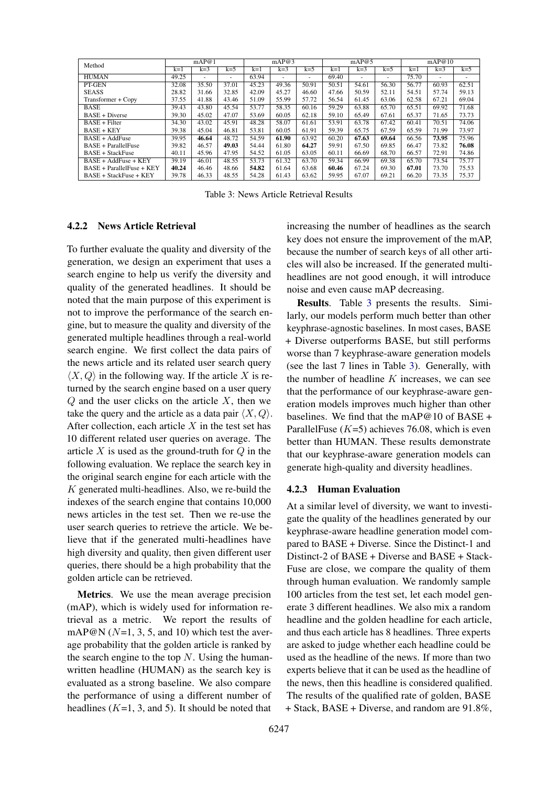<span id="page-6-0"></span>

| Method                        | mAP@1 |       |       | mAP@3 |       |                          | mAP@5 |       |       | mAP@10 |                          |                          |
|-------------------------------|-------|-------|-------|-------|-------|--------------------------|-------|-------|-------|--------|--------------------------|--------------------------|
|                               | $k=1$ | $k=3$ | $k=5$ | $k=1$ | $k=3$ | $k=5$                    | $k=1$ | $k=3$ | $k=5$ | $k=1$  | $k=3$                    | $k=5$                    |
| <b>HUMAN</b>                  | 49.25 | -     | ٠     | 63.94 | ٠     | $\overline{\phantom{a}}$ | 69.40 |       |       | 75.70  | $\overline{\phantom{a}}$ | $\overline{\phantom{a}}$ |
| PT-GEN                        | 32.08 | 35.50 | 37.01 | 45.23 | 49.36 | 50.91                    | 50.51 | 54.61 | 56.30 | 56.77  | 60.93                    | 62.51                    |
| <b>SEASS</b>                  | 28.82 | 31.66 | 32.85 | 42.09 | 45.27 | 46.60                    | 47.66 | 50.59 | 52.11 | 54.51  | 57.74                    | 59.13                    |
| Transformer + Copy            | 37.55 | 41.88 | 43.46 | 51.09 | 55.99 | 57.72                    | 56.54 | 61.45 | 63.06 | 62.58  | 67.21                    | 69.04                    |
| <b>BASE</b>                   | 39.43 | 43.80 | 45.54 | 53.77 | 58.35 | 60.16                    | 59.29 | 63.88 | 65.70 | 65.51  | 69.92                    | 71.68                    |
| $BASE + Diverse$              | 39.30 | 45.02 | 47.07 | 53.69 | 60.05 | 62.18                    | 59.10 | 65.49 | 67.61 | 65.37  | 71.65                    | 73.73                    |
| $BASE + Filter$               | 34.30 | 43.02 | 45.91 | 48.28 | 58.07 | 61.61                    | 53.91 | 63.78 | 67.42 | 60.41  | 70.51                    | 74.06                    |
| $BASE + KEY$                  | 39.38 | 45.04 | 46.81 | 53.81 | 60.05 | 61.91                    | 59.39 | 65.75 | 67.59 | 65.59  | 71.99                    | 73.97                    |
| $BASE + AddFuse$              | 39.95 | 46.64 | 48.72 | 54.59 | 61.90 | 63.92                    | 60.20 | 67.63 | 69.64 | 66.56  | 73.95                    | 75.96                    |
| <b>BASE + ParallelFuse</b>    | 39.82 | 46.57 | 49.03 | 54.44 | 61.80 | 64.27                    | 59.91 | 67.50 | 69.85 | 66.47  | 73.82                    | 76.08                    |
| <b>BASE + StackFuse</b>       | 40.11 | 45.96 | 47.95 | 54.52 | 61.05 | 63.05                    | 60.11 | 66.69 | 68.70 | 66.57  | 72.91                    | 74.86                    |
| $BASE + AddFuse + KEY$        | 39.19 | 46.01 | 48.55 | 53.73 | 61.32 | 63.70                    | 59.34 | 66.99 | 69.38 | 65.70  | 73.54                    | 75.77                    |
| BASE + ParallelFuse + KEY     | 40.24 | 46.46 | 48.66 | 54.82 | 61.64 | 63.68                    | 60.46 | 67.24 | 69.30 | 67.01  | 73.70                    | 75.53                    |
| <b>BASE + StackFuse + KEY</b> | 39.78 | 46.33 | 48.55 | 54.28 | 61.43 | 63.62                    | 59.95 | 67.07 | 69.21 | 66.20  | 73.35                    | 75.37                    |

Table 3: News Article Retrieval Results

#### 4.2.2 News Article Retrieval

To further evaluate the quality and diversity of the generation, we design an experiment that uses a search engine to help us verify the diversity and quality of the generated headlines. It should be noted that the main purpose of this experiment is not to improve the performance of the search engine, but to measure the quality and diversity of the generated multiple headlines through a real-world search engine. We first collect the data pairs of the news article and its related user search query  $\langle X, Q \rangle$  in the following way. If the article X is returned by the search engine based on a user query  $Q$  and the user clicks on the article  $X$ , then we take the query and the article as a data pair  $\langle X, Q \rangle$ . After collection, each article  $X$  in the test set has 10 different related user queries on average. The article  $X$  is used as the ground-truth for  $Q$  in the following evaluation. We replace the search key in the original search engine for each article with the  $K$  generated multi-headlines. Also, we re-build the indexes of the search engine that contains 10,000 news articles in the test set. Then we re-use the user search queries to retrieve the article. We believe that if the generated multi-headlines have high diversity and quality, then given different user queries, there should be a high probability that the golden article can be retrieved.

Metrics. We use the mean average precision (mAP), which is widely used for information retrieval as a metric. We report the results of mAP@N ( $N=1, 3, 5$ , and 10) which test the average probability that the golden article is ranked by the search engine to the top  $N$ . Using the humanwritten headline (HUMAN) as the search key is evaluated as a strong baseline. We also compare the performance of using a different number of headlines  $(K=1, 3, \text{ and } 5)$ . It should be noted that

increasing the number of headlines as the search key does not ensure the improvement of the mAP, because the number of search keys of all other articles will also be increased. If the generated multiheadlines are not good enough, it will introduce noise and even cause mAP decreasing.

Results. Table [3](#page-6-0) presents the results. Similarly, our models perform much better than other keyphrase-agnostic baselines. In most cases, BASE + Diverse outperforms BASE, but still performs worse than 7 keyphrase-aware generation models (see the last 7 lines in Table [3\)](#page-6-0). Generally, with the number of headline  $K$  increases, we can see that the performance of our keyphrase-aware generation models improves much higher than other baselines. We find that the mAP@10 of BASE + ParallelFuse  $(K=5)$  achieves 76.08, which is even better than HUMAN. These results demonstrate that our keyphrase-aware generation models can generate high-quality and diversity headlines.

### 4.2.3 Human Evaluation

At a similar level of diversity, we want to investigate the quality of the headlines generated by our keyphrase-aware headline generation model compared to BASE + Diverse. Since the Distinct-1 and Distinct-2 of BASE + Diverse and BASE + Stack-Fuse are close, we compare the quality of them through human evaluation. We randomly sample 100 articles from the test set, let each model generate 3 different headlines. We also mix a random headline and the golden headline for each article, and thus each article has 8 headlines. Three experts are asked to judge whether each headline could be used as the headline of the news. If more than two experts believe that it can be used as the headline of the news, then this headline is considered qualified. The results of the qualified rate of golden, BASE + Stack, BASE + Diverse, and random are 91.8%,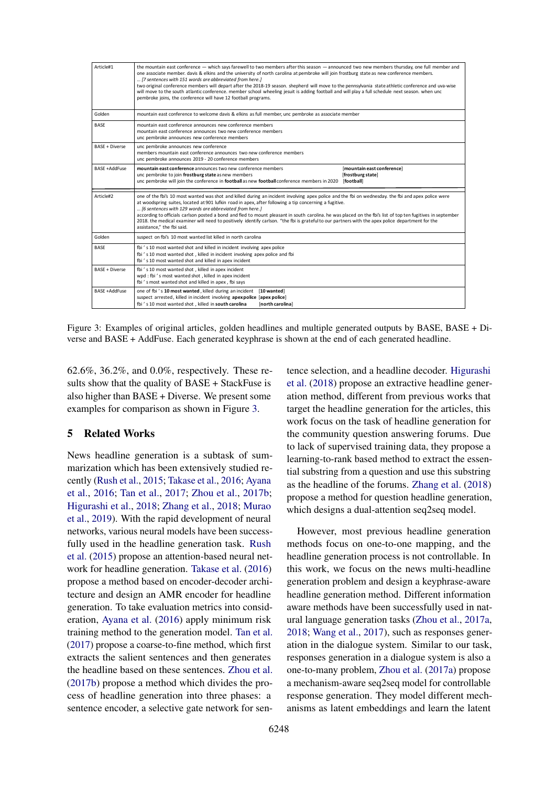<span id="page-7-0"></span>

| Article#1             | the mountain east conference — which says farewell to two members after this season — announced two new members thursday, one full member and<br>one associate member. davis & elkins and the university of north carolina at pembroke will join frostburg state as new conference members.<br>[7 sentences with 151 words are abbreviated from here.]<br>two original conference members will depart after the 2018-19 season, shepherd will move to the pennsylvania state athletic conference and uva-wise<br>will move to the south atlantic conference. member school wheeling jesuit is adding football and will play a full schedule next season. when unc<br>pembroke joins, the conference will have 12 football programs. |  |  |  |  |  |
|-----------------------|-------------------------------------------------------------------------------------------------------------------------------------------------------------------------------------------------------------------------------------------------------------------------------------------------------------------------------------------------------------------------------------------------------------------------------------------------------------------------------------------------------------------------------------------------------------------------------------------------------------------------------------------------------------------------------------------------------------------------------------|--|--|--|--|--|
| Golden                | mountain east conference to welcome davis & elkins as full member, unc pembroke as associate member                                                                                                                                                                                                                                                                                                                                                                                                                                                                                                                                                                                                                                 |  |  |  |  |  |
| <b>BASE</b>           | mountain east conference announces new conference members<br>mountain east conference announces two new conference members<br>unc pembroke announces new conference members                                                                                                                                                                                                                                                                                                                                                                                                                                                                                                                                                         |  |  |  |  |  |
| <b>BASE + Diverse</b> | unc pembroke announces new conference<br>members mountain east conference announces two new conference members<br>unc pembroke announces 2019 - 20 conference members                                                                                                                                                                                                                                                                                                                                                                                                                                                                                                                                                               |  |  |  |  |  |
| <b>BASE +AddEuse</b>  | mountain east conference announces two new conference members<br>[mountain east conference]<br>unc pembroke to join frostburg state as new members<br>[frostburg state]<br>unc pembroke will join the conference in football as new football conference members in 2020<br>[football]                                                                                                                                                                                                                                                                                                                                                                                                                                               |  |  |  |  |  |
| Article#2             | one of the fbi's 10 most wanted was shot and killed during an incident involving apex police and the fbi on wednesday, the fbi and apex police were<br>at woodspring suites, located at 901 lufkin road in apex, after following a tip concerning a fugitive.<br>[6 sentences with 129 words are abbreviated from here.]<br>according to officials carlson posted a bond and fled to mount pleasant in south carolina. he was placed on the fbi's list of top ten fugitives in september<br>2018, the medical examiner will need to positively identify carlson. "the fbi is grateful to our partners with the apex police department for the<br>assistance." the fbi said.                                                         |  |  |  |  |  |
| Golden                | suspect on fbi's 10 most wanted list killed in north carolina                                                                                                                                                                                                                                                                                                                                                                                                                                                                                                                                                                                                                                                                       |  |  |  |  |  |
| <b>BASE</b>           | fbi 's 10 most wanted shot and killed in incident involving apex police<br>fbi's 10 most wanted shot, killed in incident involving apex police and fbi<br>fbi 's 10 most wanted shot and killed in apex incident                                                                                                                                                                                                                                                                                                                                                                                                                                                                                                                    |  |  |  |  |  |
| <b>BASE + Diverse</b> | fbi 's 10 most wanted shot, killed in apex incident<br>wpd : fbi 's most wanted shot, killed in apex incident<br>fbi's most wanted shot and killed in apex, fbi says                                                                                                                                                                                                                                                                                                                                                                                                                                                                                                                                                                |  |  |  |  |  |
| <b>BASE +AddEuse</b>  | one of fbi's 10 most wanted, killed during an incident [10 wanted]<br>suspect arrested, killed in incident involving apex police [apex police]<br>fbi ' s 10 most wanted shot, killed in south carolina<br>[north carolina]                                                                                                                                                                                                                                                                                                                                                                                                                                                                                                         |  |  |  |  |  |

Figure 3: Examples of original articles, golden headlines and multiple generated outputs by BASE, BASE + Diverse and BASE + AddFuse. Each generated keyphrase is shown at the end of each generated headline.

62.6%, 36.2%, and 0.0%, respectively. These results show that the quality of BASE + StackFuse is also higher than BASE + Diverse. We present some examples for comparison as shown in Figure [3.](#page-7-0)

# 5 Related Works

News headline generation is a subtask of summarization which has been extensively studied recently [\(Rush et al.,](#page-8-15) [2015;](#page-8-15) [Takase et al.,](#page-9-1) [2016;](#page-9-1) [Ayana](#page-8-2) [et al.,](#page-8-2) [2016;](#page-8-2) [Tan et al.,](#page-9-8) [2017;](#page-9-8) [Zhou et al.,](#page-9-7) [2017b;](#page-9-7) [Higurashi et al.,](#page-8-16) [2018;](#page-8-16) [Zhang et al.,](#page-9-2) [2018;](#page-9-2) [Murao](#page-8-3) [et al.,](#page-8-3) [2019\)](#page-8-3). With the rapid development of neural networks, various neural models have been successfully used in the headline generation task. [Rush](#page-8-15) [et al.](#page-8-15) [\(2015\)](#page-8-15) propose an attention-based neural network for headline generation. [Takase et al.](#page-9-1) [\(2016\)](#page-9-1) propose a method based on encoder-decoder architecture and design an AMR encoder for headline generation. To take evaluation metrics into consideration, [Ayana et al.](#page-8-2) [\(2016\)](#page-8-2) apply minimum risk training method to the generation model. [Tan et al.](#page-9-8) [\(2017\)](#page-9-8) propose a coarse-to-fine method, which first extracts the salient sentences and then generates the headline based on these sentences. [Zhou et al.](#page-9-7) [\(2017b\)](#page-9-7) propose a method which divides the process of headline generation into three phases: a sentence encoder, a selective gate network for sen-

tence selection, and a headline decoder. [Higurashi](#page-8-16) [et al.](#page-8-16) [\(2018\)](#page-8-16) propose an extractive headline generation method, different from previous works that target the headline generation for the articles, this work focus on the task of headline generation for the community question answering forums. Due to lack of supervised training data, they propose a learning-to-rank based method to extract the essential substring from a question and use this substring as the headline of the forums. [Zhang et al.](#page-9-2) [\(2018\)](#page-9-2) propose a method for question headline generation, which designs a dual-attention seq2seq model.

However, most previous headline generation methods focus on one-to-one mapping, and the headline generation process is not controllable. In this work, we focus on the news multi-headline generation problem and design a keyphrase-aware headline generation method. Different information aware methods have been successfully used in natural language generation tasks [\(Zhou et al.,](#page-9-9) [2017a,](#page-9-9) [2018;](#page-9-10) [Wang et al.,](#page-9-11) [2017\)](#page-9-11), such as responses generation in the dialogue system. Similar to our task, responses generation in a dialogue system is also a one-to-many problem, [Zhou et al.](#page-9-9) [\(2017a\)](#page-9-9) propose a mechanism-aware seq2seq model for controllable response generation. They model different mechanisms as latent embeddings and learn the latent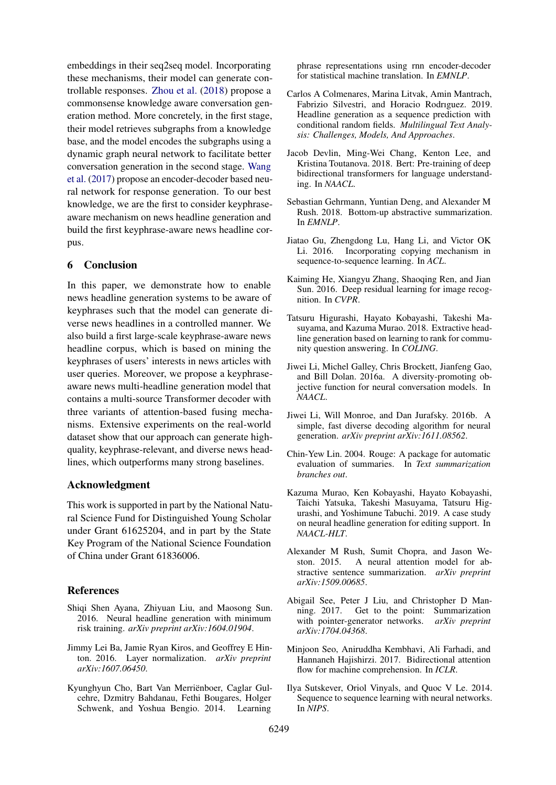embeddings in their seq2seq model. Incorporating these mechanisms, their model can generate controllable responses. [Zhou et al.](#page-9-10) [\(2018\)](#page-9-10) propose a commonsense knowledge aware conversation generation method. More concretely, in the first stage, their model retrieves subgraphs from a knowledge base, and the model encodes the subgraphs using a dynamic graph neural network to facilitate better conversation generation in the second stage. [Wang](#page-9-11) [et al.](#page-9-11) [\(2017\)](#page-9-11) propose an encoder-decoder based neural network for response generation. To our best knowledge, we are the first to consider keyphraseaware mechanism on news headline generation and build the first keyphrase-aware news headline corpus.

# 6 Conclusion

In this paper, we demonstrate how to enable news headline generation systems to be aware of keyphrases such that the model can generate diverse news headlines in a controlled manner. We also build a first large-scale keyphrase-aware news headline corpus, which is based on mining the keyphrases of users' interests in news articles with user queries. Moreover, we propose a keyphraseaware news multi-headline generation model that contains a multi-source Transformer decoder with three variants of attention-based fusing mechanisms. Extensive experiments on the real-world dataset show that our approach can generate highquality, keyphrase-relevant, and diverse news headlines, which outperforms many strong baselines.

### Acknowledgment

This work is supported in part by the National Natural Science Fund for Distinguished Young Scholar under Grant 61625204, and in part by the State Key Program of the National Science Foundation of China under Grant 61836006.

### References

- <span id="page-8-2"></span>Shiqi Shen Ayana, Zhiyuan Liu, and Maosong Sun. 2016. Neural headline generation with minimum risk training. *arXiv preprint arXiv:1604.01904*.
- <span id="page-8-8"></span>Jimmy Lei Ba, Jamie Ryan Kiros, and Geoffrey E Hinton. 2016. Layer normalization. *arXiv preprint arXiv:1607.06450*.
- <span id="page-8-12"></span>Kyunghyun Cho, Bart Van Merrienboer, Caglar Gul- ¨ cehre, Dzmitry Bahdanau, Fethi Bougares, Holger Schwenk, and Yoshua Bengio. 2014. Learning

phrase representations using rnn encoder-decoder for statistical machine translation. In *EMNLP*.

- <span id="page-8-4"></span>Carlos A Colmenares, Marina Litvak, Amin Mantrach, Fabrizio Silvestri, and Horacio Rodrıguez. 2019. Headline generation as a sequence prediction with conditional random fields. *Multilingual Text Analysis: Challenges, Models, And Approaches*.
- <span id="page-8-9"></span>Jacob Devlin, Ming-Wei Chang, Kenton Lee, and Kristina Toutanova. 2018. Bert: Pre-training of deep bidirectional transformers for language understanding. In *NAACL*.
- <span id="page-8-1"></span>Sebastian Gehrmann, Yuntian Deng, and Alexander M Rush. 2018. Bottom-up abstractive summarization. In *EMNLP*.
- <span id="page-8-10"></span>Jiatao Gu, Zhengdong Lu, Hang Li, and Victor OK Li. 2016. Incorporating copying mechanism in sequence-to-sequence learning. In *ACL*.
- <span id="page-8-7"></span>Kaiming He, Xiangyu Zhang, Shaoqing Ren, and Jian Sun. 2016. Deep residual learning for image recognition. In *CVPR*.
- <span id="page-8-16"></span>Tatsuru Higurashi, Hayato Kobayashi, Takeshi Masuyama, and Kazuma Murao. 2018. Extractive headline generation based on learning to rank for community question answering. In *COLING*.
- <span id="page-8-14"></span>Jiwei Li, Michel Galley, Chris Brockett, Jianfeng Gao, and Bill Dolan. 2016a. A diversity-promoting objective function for neural conversation models. In *NAACL*.
- <span id="page-8-13"></span>Jiwei Li, Will Monroe, and Dan Jurafsky. 2016b. A simple, fast diverse decoding algorithm for neural generation. *arXiv preprint arXiv:1611.08562*.
- <span id="page-8-5"></span>Chin-Yew Lin. 2004. Rouge: A package for automatic evaluation of summaries. In *Text summarization branches out*.
- <span id="page-8-3"></span>Kazuma Murao, Ken Kobayashi, Hayato Kobayashi, Taichi Yatsuka, Takeshi Masuyama, Tatsuru Higurashi, and Yoshimune Tabuchi. 2019. A case study on neural headline generation for editing support. In *NAACL-HLT*.
- <span id="page-8-15"></span>Alexander M Rush, Sumit Chopra, and Jason Weston. 2015. A neural attention model for abstractive sentence summarization. *arXiv preprint arXiv:1509.00685*.
- <span id="page-8-0"></span>Abigail See, Peter J Liu, and Christopher D Manning. 2017. Get to the point: Summarization with pointer-generator networks. *arXiv preprint arXiv:1704.04368*.
- <span id="page-8-11"></span>Minjoon Seo, Aniruddha Kembhavi, Ali Farhadi, and Hannaneh Hajishirzi. 2017. Bidirectional attention flow for machine comprehension. In *ICLR*.
- <span id="page-8-6"></span>Ilya Sutskever, Oriol Vinyals, and Quoc V Le. 2014. Sequence to sequence learning with neural networks. In *NIPS*.